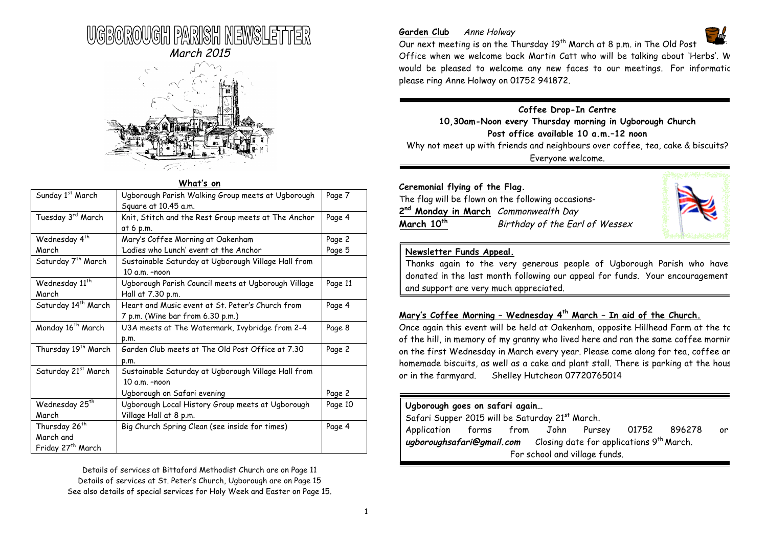



# **What's on**

| Sunday 1st March                | Ugborough Parish Walking Group meets at Ugborough<br>Square at 10.45 a.m. | Page 7  |
|---------------------------------|---------------------------------------------------------------------------|---------|
| Tuesday 3rd March               | Knit, Stitch and the Rest Group meets at The Anchor                       | Page 4  |
|                                 | at 6 p.m.                                                                 |         |
| Wednesday 4 <sup>th</sup>       | Mary's Coffee Morning at Oakenham                                         | Page 2  |
| March                           | 'Ladies who Lunch' event at the Anchor                                    | Page 5  |
| Saturday 7 <sup>th</sup> March  | Sustainable Saturday at Ugborough Village Hall from                       |         |
|                                 | 10 a.m. -noon                                                             |         |
| Wednesday 11 <sup>th</sup>      | Ugborough Parish Council meets at Ugborough Village                       | Page 11 |
| March                           | Hall at 7.30 p.m.                                                         |         |
| Saturday 14 <sup>th</sup> March | Heart and Music event at St. Peter's Church from                          | Page 4  |
|                                 | 7 p.m. (Wine bar from 6.30 p.m.)                                          |         |
| Monday 16 <sup>th</sup> March   | U3A meets at The Watermark, Ivybridge from 2-4                            | Page 8  |
|                                 | p.m.                                                                      |         |
| Thursday 19 <sup>th</sup> March | Garden Club meets at The Old Post Office at 7.30                          | Page 2  |
|                                 | p.m.                                                                      |         |
| Saturday 21st March             | Sustainable Saturday at Ugborough Village Hall from                       |         |
|                                 | 10 a.m. -noon                                                             |         |
|                                 | Ugborough on Safari evening                                               | Page 2  |
| Wednesday 25 <sup>th</sup>      | Ugborough Local History Group meets at Ugborough                          | Page 10 |
| March                           | Village Hall at 8 p.m.                                                    |         |
| Thursday 26 <sup>th</sup>       | Big Church Spring Clean (see inside for times)                            | Page 4  |
| March and                       |                                                                           |         |
| Friday 27 <sup>th</sup> March   |                                                                           |         |

Details of services at Bittaford Methodist Church are on Page 11 Details of services at St. Peter's Church, Ugborough are on Page 15 See also details of special services for Holy Week and Easter on Page 15.

#### Garden Club Anne Holway



Our next meeting is on the Thursday 19<sup>th</sup> March at 8 p.m. in The Old Post Office when we welcome back Martin Catt who will be talking about 'Herbs'. W would be pleased to welcome any new faces to our meetings. For informatic please ring Anne Holway on 01752 941872.

# **Coffee Drop-In Centre**

**10,30am-Noon every Thursday morning in Ugborough Church Post office available 10 a.m.–12 noon** Why not meet up with friends and neighbours over coffee, tea, cake & biscuits? Everyone welcome.

| Ceremonial flying of the Flag.<br>The flag will be flown on the following occasions- |                                |  |  |  |
|--------------------------------------------------------------------------------------|--------------------------------|--|--|--|
|                                                                                      |                                |  |  |  |
| March 10 <sup>th</sup>                                                               | Birthday of the Earl of Wessex |  |  |  |



### **Newsletter Funds Appeal.**

Thanks again to the very generous people of Ugborough Parish who have donated in the last month following our appeal for funds. Your encouragement and support are very much appreciated.

# **Mary's Coffee Morning – Wednesday 4th March – In aid of the Church.**

Once again this event will be held at Oakenham, opposite Hillhead Farm at the top of the hill, in memory of my granny who lived here and ran the same coffee mornir on the first Wednesday in March every year. Please come along for tea, coffee an homemade biscuits, as well as a cake and plant stall. There is parking at the hous or in the farmyard. Shelley Hutcheon 07720765014

# **Ugborough goes on safari again…**

Safari Supper 2015 will be Saturday  $21<sup>st</sup>$  March.

Application forms from John Pursey 01752 896278 **ugboroughsafari@gmail.com** Closing date for applications 9th March. For school and village funds.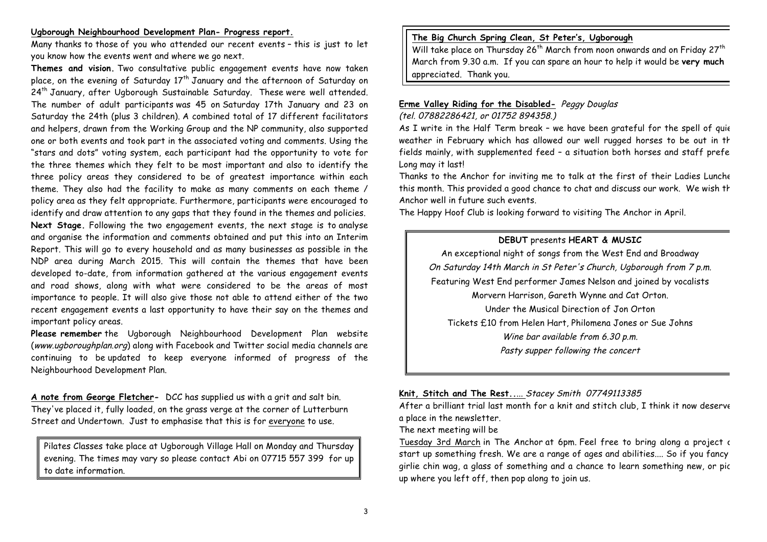#### **Ugborough Neighbourhood Development Plan- Progress report.**

Many thanks to those of you who attended our recent events – this is just to let you know how the events went and where we go next.

**Themes and vision.** Two consultative public engagement events have now taken place, on the evening of Saturday  $17<sup>th</sup>$  January and the afternoon of Saturday on 24<sup>th</sup> January, after Ugborough Sustainable Saturday. These were well attended. The number of adult participants was 45 on Saturday 17th January and 23 on Saturday the 24th (plus 3 children). A combined total of 17 different facilitators and helpers, drawn from the Working Group and the NP community, also supported one or both events and took part in the associated voting and comments. Using the "stars and dots" voting system, each participant had the opportunity to vote for the three themes which they felt to be most important and also to identify the three policy areas they considered to be of greatest importance within each theme. They also had the facility to make as many comments on each theme / policy area as they felt appropriate. Furthermore, participants were encouraged to identify and draw attention to any gaps that they found in the themes and policies. **Next Stage.** Following the two engagement events, the next stage is to analyse and organise the information and comments obtained and put this into an Interim Report. This will go to every household and as many businesses as possible in the NDP area during March 2015. This will contain the themes that have been developed to-date, from information gathered at the various engagement events and road shows, along with what were considered to be the areas of most importance to people. It will also give those not able to attend either of the two recent engagement events a last opportunity to have their say on the themes and important policy areas.

**Please remember** the Ugborough Neighbourhood Development Plan website (www.ugboroughplan.org) along with Facebook and Twitter social media channels are continuing to be updated to keep everyone informed of progress of the Neighbourhood Development Plan.

**A note from George Fletcher-** DCC has supplied us with a grit and salt bin. They've placed it, fully loaded, on the grass verge at the corner of Lutterburn Street and Undertown. Just to emphasise that this is for everyone to use.

Pilates Classes take place at Ugborough Village Hall on Monday and Thursday evening. The times may vary so please contact Abi on 07715 557 399 for up to date information.

# **The Big Church Spring Clean, St Peter's, Ugborough**

Will take place on Thursday 26<sup>th</sup> March from noon onwards and on Friday 27<sup>th</sup> March from 9.30 a.m. If you can spare an hour to help it would be **very much** appreciated. Thank you.

### **Erme Valley Riding for the Disabled-** Peggy Douglas (tel. 07882286421, or 01752 894358.)

As I write in the Half Term break - we have been grateful for the spell of quie weather in February which has allowed our well rugged horses to be out in the fields mainly, with supplemented feed - a situation both horses and staff prefe Long may it last!

Thanks to the Anchor for inviting me to talk at the first of their Ladies Lunche this month. This provided a good chance to chat and discuss our work. We wish th Anchor well in future such events.

The Happy Hoof Club is looking forward to visiting The Anchor in April.

### **DEBUT** presents **HEART & MUSIC**

An exceptional night of songs from the West End and Broadway On Saturday 14th March in St Peter's Church, Ugborough from 7 p.m. Featuring West End performer James Nelson and joined by vocalists Morvern Harrison, Gareth Wynne and Cat Orton. Under the Musical Direction of Jon Orton Tickets £10 from Helen Hart, Philomena Jones or Sue Johns Wine bar available from 6.30 p.m. Pasty supper following the concert

#### **Knit, Stitch and The Rest..**... Stacey Smith 07749113385

After a brilliant trial last month for a knit and stitch club, I think it now deserve a place in the newsletter.

The next meeting will be

Tuesday 3rd March in The Anchor at 6pm. Feel free to bring along a project or start up something fresh. We are a range of ages and abilities.... So if you fancy a girlie chin wag, a glass of something and a chance to learn something new, or pick up where you left off, then pop along to join us.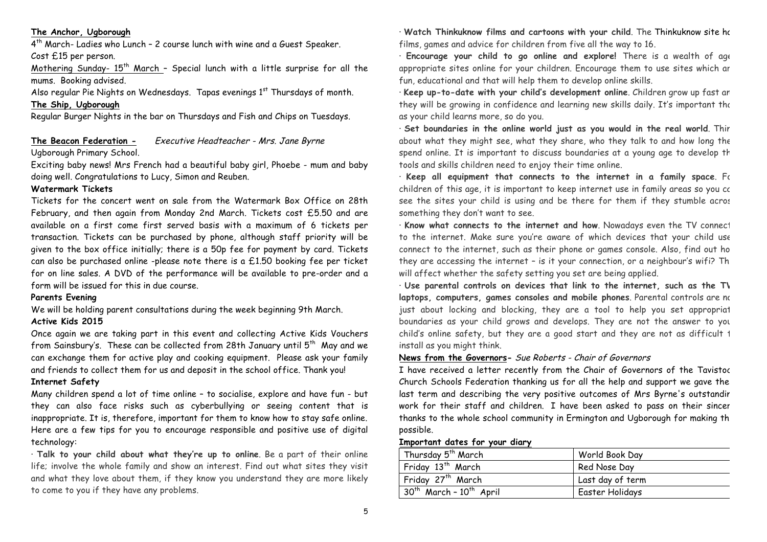### **The Anchor, Ugborough**

4th March- Ladies who Lunch – 2 course lunch with wine and a Guest Speaker. Cost £15 per person.

Mothering Sunday-  $15<sup>th</sup>$  March - Special lunch with a little surprise for all the mums. Booking advised.

Also regular Pie Nights on Wednesdays. Tapas evenings 1<sup>st</sup> Thursdays of month.

# **The Ship, Ugborough**

Regular Burger Nights in the bar on Thursdays and Fish and Chips on Tuesdays.

# **The Beacon Federation -** Executive Headteacher - Mrs. Jane Byrne

#### Ugborough Primary School.

Exciting baby news! Mrs French had a beautiful baby girl, Phoebe - mum and baby doing well. Congratulations to Lucy, Simon and Reuben.

### **Watermark Tickets**

Tickets for the concert went on sale from the Watermark Box Office on 28th February, and then again from Monday 2nd March. Tickets cost £5.50 and are available on a first come first served basis with a maximum of 6 tickets per transaction. Tickets can be purchased by phone, although staff priority will be given to the box office initially; there is a 50p fee for payment by card. Tickets can also be purchased online -please note there is a £1.50 booking fee per ticket for on line sales. A DVD of the performance will be available to pre-order and a form will be issued for this in due course.

#### **Parents Evening**

We will be holding parent consultations during the week beginning 9th March.

#### **Active Kids 2015**

Once again we are taking part in this event and collecting Active Kids Vouchers from Sainsbury's. These can be collected from 28th January until  $5<sup>th</sup>$  May and we can exchange them for active play and cooking equipment. Please ask your family and friends to collect them for us and deposit in the school office. Thank you!

#### **Internet Safety**

Many children spend a lot of time online – to socialise, explore and have fun - but they can also face risks such as cyberbullying or seeing content that is inappropriate. It is, therefore, important for them to know how to stay safe online. Here are a few tips for you to encourage responsible and positive use of digital technology:

· **Talk to your child about what they're up to online**. Be a part of their online life; involve the whole family and show an interest. Find out what sites they visit and what they love about them, if they know you understand they are more likely to come to you if they have any problems.

· **Watch Thinkuknow films and cartoons with your child**. The Thinkuknow site has films, games and advice for children from five all the way to 16.

· **Encourage your child to go online and explore!** There is a wealth of ageappropriate sites online for your children. Encourage them to use sites which are fun, educational and that will help them to develop online skills.

· **Keep up-to-date with your child's development online**. Children grow up fast and they will be growing in confidence and learning new skills daily. It's important the as your child learns more, so do you.

· Set boundaries in the online world just as you would in the real world. Thir about what they might see, what they share, who they talk to and how long the spend online. It is important to discuss boundaries at a young age to develop th tools and skills children need to enjoy their time online.

· Keep all equipment that connects to the internet in a family space. For children of this age, it is important to keep internet use in family areas so you co see the sites your child is using and be there for them if they stumble acros something they don't want to see.

· Know what connects to the internet and how. Nowadays even the TV connect to the internet. Make sure you're aware of which devices that your child use connect to the internet, such as their phone or games console. Also, find out ho they are accessing the internet  $-$  is it your connection, or a neighbour's wifi? Th will affect whether the safety setting you set are being applied.

· **Use parental controls on devices that link to the internet, such as the TV,**  laptops, computers, games consoles and mobile phones. Parental controls are no just about locking and blocking, they are a tool to help you set appropriat boundaries as your child grows and develops. They are not the answer to your child's online safety, but they are a good start and they are not as difficult  $t$ install as you might think.

#### **News from the Governors-** Sue Roberts - Chair of Governors

I have received a letter recently from the Chair of Governors of the Tavistock Church Schools Federation thanking us for all the help and support we gave them last term and describing the very positive outcomes of Mrs Byrne's outstandir work for their staff and children. I have been asked to pass on their sincer thanks to the whole school community in Ermington and Ugborough for making th possible.

#### **Important dates for your diary**

| Thursday 5 <sup>th</sup> March | World Book Day   |
|--------------------------------|------------------|
| Friday 13 <sup>th</sup> March  | Red Nose Day     |
| Friday 27 <sup>th</sup> March  | Last day of term |
| $30th$ March - $10th$ April    | Easter Holidays  |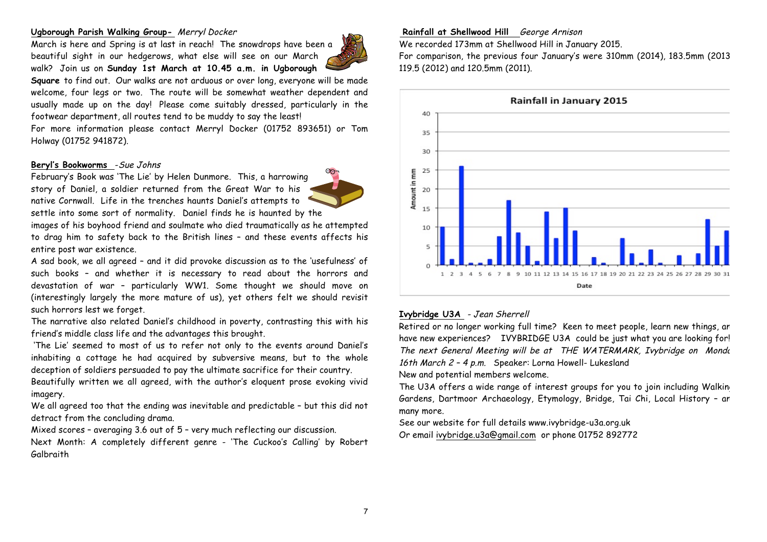#### **Ugborough Parish Walking Group-** Merryl Docker

March is here and Spring is at last in reach! The snowdrops have been a beautiful sight in our hedgerows, what else will see on our March walk? Join us on **Sunday 1st March at 10.45 a.m. in Ugborough** 



**Square** to find out. Our walks are not arduous or over long, everyone will be made welcome, four legs or two. The route will be somewhat weather dependent and usually made up on the day! Please come suitably dressed, particularly in the footwear department, all routes tend to be muddy to say the least!

For more information please contact Merryl Docker (01752 893651) or Tom Holway (01752 941872).

#### **Beryl's Bookworms** -Sue Johns

February's Book was 'The Lie' by Helen Dunmore. This, a harrowing story of Daniel, a soldier returned from the Great War to his native Cornwall. Life in the trenches haunts Daniel's attempts to settle into some sort of normality. Daniel finds he is haunted by the

images of his boyhood friend and soulmate who died traumatically as he attempted to drag him to safety back to the British lines – and these events affects his entire post war existence.

A sad book, we all agreed – and it did provoke discussion as to the 'usefulness' of such books – and whether it is necessary to read about the horrors and devastation of war – particularly WW1. Some thought we should move on (interestingly largely the more mature of us), yet others felt we should revisit such horrors lest we forget.

The narrative also related Daniel's childhood in poverty, contrasting this with his friend's middle class life and the advantages this brought.

'The Lie' seemed to most of us to refer not only to the events around Daniel's inhabiting a cottage he had acquired by subversive means, but to the whole deception of soldiers persuaded to pay the ultimate sacrifice for their country.

Beautifully written we all agreed, with the author's eloquent prose evoking vivid imagery.

We all agreed too that the ending was inevitable and predictable – but this did not detract from the concluding drama.

Mixed scores – averaging 3.6 out of 5 – very much reflecting our discussion.

Next Month: A completely different genre - 'The Cuckoo's Calling' by Robert Galbraith

#### **Rainfall at Shellwood Hill** George Arnison

We recorded 173mm at Shellwood Hill in January 2015.

For comparison, the previous four January's were 310mm (2014), 183.5mm (2013), 119.5 (2012) and 120.5mm (2011).



# **Ivybridge U3A** - Jean Sherrell

Retired or no longer working full time? Keen to meet people, learn new things, an have new experiences? IVYBRIDGE U3A could be just what you are looking for! The next General Meeting will be at THE WATERMARK, Ivybridge on Monda 16th March 2 – 4 p.m. Speaker: Lorna Howell- Lukesland

New and potential members welcome.

The U3A offers a wide range of interest groups for you to join including Walking Gardens, Dartmoor Archaeology, Etymology, Bridge, Tai Chi, Local History – and many more.

See our website for full details www.ivybridge-u3a.org.uk Or email ivybridge.u3a@gmail.com or phone 01752 892772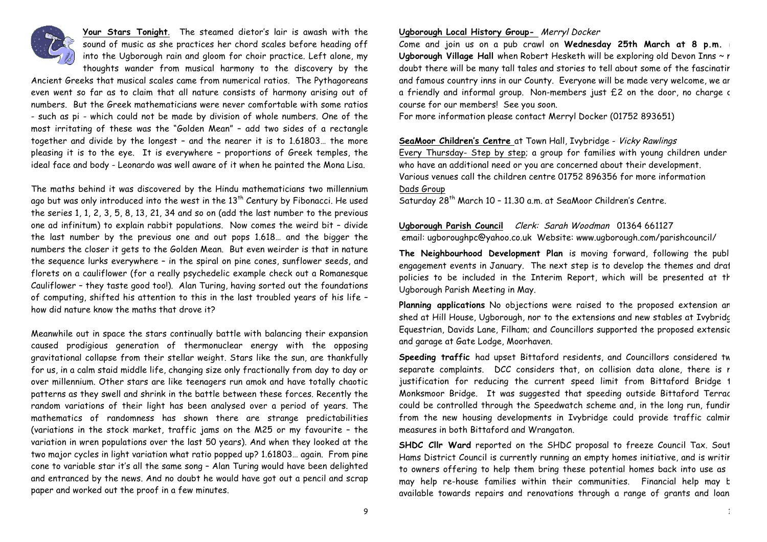

**Your Stars Tonight**. The steamed dietor's lair is awash with the sound of music as she practices her chord scales before heading off into the Ugborough rain and gloom for choir practice. Left alone, my thoughts wander from musical harmony to the discovery by the

Ancient Greeks that musical scales came from numerical ratios. The Pythagoreans even went so far as to claim that all nature consists of harmony arising out of numbers. But the Greek mathematicians were never comfortable with some ratios - such as pi - which could not be made by division of whole numbers. One of the most irritating of these was the "Golden Mean" – add two sides of a rectangle together and divide by the longest – and the nearer it is to 1.61803… the more pleasing it is to the eye. It is everywhere – proportions of Greek temples, the ideal face and body - Leonardo was well aware of it when he painted the Mona Lisa.

The maths behind it was discovered by the Hindu mathematicians two millennium ago but was only introduced into the west in the  $13<sup>th</sup>$  Century by Fibonacci. He used the series 1, 1, 2, 3, 5, 8, 13, 21, 34 and so on (add the last number to the previous one ad infinitum) to explain rabbit populations. Now comes the weird bit – divide the last number by the previous one and out pops 1.618… and the bigger the numbers the closer it gets to the Golden Mean. But even weirder is that in nature the sequence lurks everywhere – in the spiral on pine cones, sunflower seeds, and florets on a cauliflower (for a really psychedelic example check out a Romanesque Cauliflower – they taste good too!). Alan Turing, having sorted out the foundations of computing, shifted his attention to this in the last troubled years of his life – how did nature know the maths that drove it?

Meanwhile out in space the stars continually battle with balancing their expansion caused prodigious generation of thermonuclear energy with the opposing gravitational collapse from their stellar weight. Stars like the sun, are thankfully for us, in a calm staid middle life, changing size only fractionally from day to day or over millennium. Other stars are like teenagers run amok and have totally chaotic patterns as they swell and shrink in the battle between these forces. Recently the random variations of their light has been analysed over a period of years. The mathematics of randomness has shown there are strange predictabilities (variations in the stock market, traffic jams on the M25 or my favourite – the variation in wren populations over the last 50 years). And when they looked at the two major cycles in light variation what ratio popped up? 1.61803… again. From pine cone to variable star it's all the same song – Alan Turing would have been delighted and entranced by the news. And no doubt he would have got out a pencil and scrap paper and worked out the proof in a few minutes.

#### **Ugborough Local History Group-** Merryl Docker

Come and join us on a pub crawl on Wednesday 25th March at 8 p.m. in Ugborough Village Hall when Robert Hesketh will be exploring old Devon Inns ~ r doubt there will be many tall tales and stories to tell about some of the fascinatir and famous country inns in our County. Everyone will be made very welcome, we ar a friendly and informal group. Non-members just  $£2$  on the door, no charge  $c$ course for our members! See you soon.

For more information please contact Merryl Docker (01752 893651)

**SeaMoor Children's Centre** at Town Hall, Ivybridge - Vicky Rawlings Every Thursday- Step by step; a group for families with young children under 5 who have an additional need or you are concerned about their development. Various venues call the children centre 01752 896356 for more information Dads Group

Saturday 28<sup>th</sup> March 10 - 11.30 a.m. at SeaMoor Children's Centre.

# **Ugborough Parish Council** Clerk: Sarah Woodman 01364 661127

email: ugboroughpc@yahoo.co.uk Website: www.ugborough.com/parishcouncil/

**The Neighbourhood Development Plan** is moving forward, following the public engagement events in January. The next step is to develop the themes and draf policies to be included in the Interim Report, which will be presented at th Ugborough Parish Meeting in May.

Planning applications No objections were raised to the proposed extension an shed at Hill House, Ugborough, nor to the extensions and new stables at Ivybridge Equestrian, Davids Lane, Filham; and Councillors supported the proposed extensic and garage at Gate Lodge, Moorhaven.

Speeding traffic had upset Bittaford residents, and Councillors considered tw separate complaints. DCC considers that, on collision data alone, there is r justification for reducing the current speed limit from Bittaford Bridge 1 Monksmoor Bridge. It was suggested that speeding outside Bittaford Terrac could be controlled through the Speedwatch scheme and, in the long run, fundir from the new housing developments in Ivybridge could provide traffic calmir measures in both Bittaford and Wrangaton.

**SHDC Cllr Ward** reported on the SHDC proposal to freeze Council Tax. Sout Hams District Council is currently running an empty homes initiative, and is writir to owners offering to help them bring these potential homes back into use as may help re-house families within their communities. Financial help may be available towards repairs and renovations through a range of grants and loan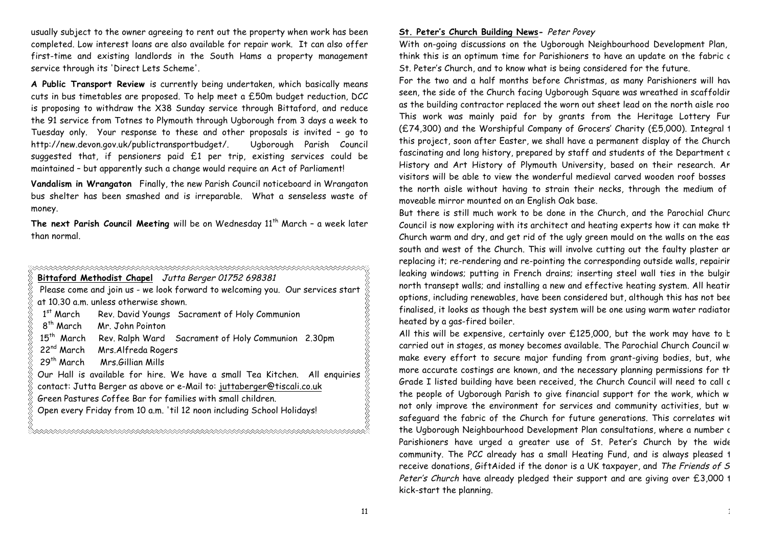usually subject to the owner agreeing to rent out the property when work has been completed. Low interest loans are also available for repair work. It can also offer first-time and existing landlords in the South Hams a property management service through its 'Direct Lets Scheme'.

**A Public Transport Review** is currently being undertaken, which basically means cuts in bus timetables are proposed. To help meet a £50m budget reduction, DCC is proposing to withdraw the X38 Sunday service through Bittaford, and reduce the 91 service from Totnes to Plymouth through Ugborough from 3 days a week to Tuesday only. Your response to these and other proposals is invited – go to http://new.devon.gov.uk/publictransportbudget/. Ugborough Parish Council suggested that, if pensioners paid £1 per trip, existing services could be maintained – but apparently such a change would require an Act of Parliament!

**Vandalism in Wrangaton** Finally, the new Parish Council noticeboard in Wrangaton bus shelter has been smashed and is irreparable. What a senseless waste of money.

The next Parish Council Meeting will be on Wednesday 11<sup>th</sup> March - a week later than normal.

| Bittaford Methodist Chapel Jutta Berger 01752 698381                           |                                                                           |  |  |
|--------------------------------------------------------------------------------|---------------------------------------------------------------------------|--|--|
| Please come and join us - we look forward to welcoming you. Our services start |                                                                           |  |  |
| at 10.30 a.m. unless otherwise shown.                                          |                                                                           |  |  |
| $1^\mathsf{st}$ March                                                          | Rev. David Youngs Sacrament of Holy Communion                             |  |  |
|                                                                                | 8 <sup>th</sup> March Mr. John Pointon                                    |  |  |
|                                                                                | 15 <sup>th</sup> March Rev. Ralph Ward Sacrament of Holy Communion 2.30pm |  |  |
| 22 <sup>nd</sup> March                                                         | Mrs.Alfreda Rogers                                                        |  |  |
| 29th March                                                                     | Mrs Gillian Mills                                                         |  |  |
| Our Hall is available for hire. We have a small Tea Kitchen. All enquiries     |                                                                           |  |  |
| contact: Jutta Berger as above or e-Mail to: juttaberger@tiscali.co.uk         |                                                                           |  |  |
| Green Pastures Coffee Bar for families with small children.                    |                                                                           |  |  |
| Open every Friday from 10 a.m. 'til 12 noon including School Holidays!         |                                                                           |  |  |

#### **St. Peter's Church Building News-** Peter Povey

With on-going discussions on the Ugborough Neighbourhood Development Plan, think this is an optimum time for Parishioners to have an update on the fabric c St. Peter's Church, and to know what is being considered for the future.

For the two and a half months before Christmas, as many Parishioners will have seen, the side of the Church facing Ugborough Square was wreathed in scaffoldir as the building contractor replaced the worn out sheet lead on the north aisle roo This work was mainly paid for by grants from the Heritage Lottery Fun (£74,300) and the Worshipful Company of Grocers' Charity (£5,000). Integral 1 this project, soon after Easter, we shall have a permanent display of the Church fascinating and long history, prepared by staff and students of the Department c History and Art History of Plymouth University, based on their research. An visitors will be able to view the wonderful medieval carved wooden roof bosses in the north aisle without having to strain their necks, through the medium of moveable mirror mounted on an English Oak base.

But there is still much work to be done in the Church, and the Parochial Churc Council is now exploring with its architect and heating experts how it can make th Church warm and dry, and get rid of the ugly green mould on the walls on the eas south and west of the Church. This will involve cutting out the faulty plaster an replacing it; re-rendering and re-pointing the corresponding outside walls, repairir leaking windows; putting in French drains; inserting steel wall ties in the bulgir north transept walls; and installing a new and effective heating system. All heatir options, including renewables, have been considered but, although this has not bee finalised, it looks as though the best system will be one using warm water radiator heated by a gas-fired boiler.

All this will be expensive, certainly over  $£125,000$ , but the work may have to b carried out in stages, as money becomes available. The Parochial Church Council will make every effort to secure major funding from grant-giving bodies, but, whe more accurate costings are known, and the necessary planning permissions for th Grade I listed building have been received, the Church Council will need to call c the people of Ugborough Parish to give financial support for the work, which will not only improve the environment for services and community activities, but will safeguard the fabric of the Church for future generations. This correlates with the Ugborough Neighbourhood Development Plan consultations, where a number of Parishioners have urged a greater use of St. Peter's Church by the wide community. The PCC already has a small Heating Fund, and is always pleased 1 receive donations, GiftAided if the donor is a UK taxpayer, and The Friends of S Peter's Church have already pledged their support and are giving over £3,000 1 kick-start the planning.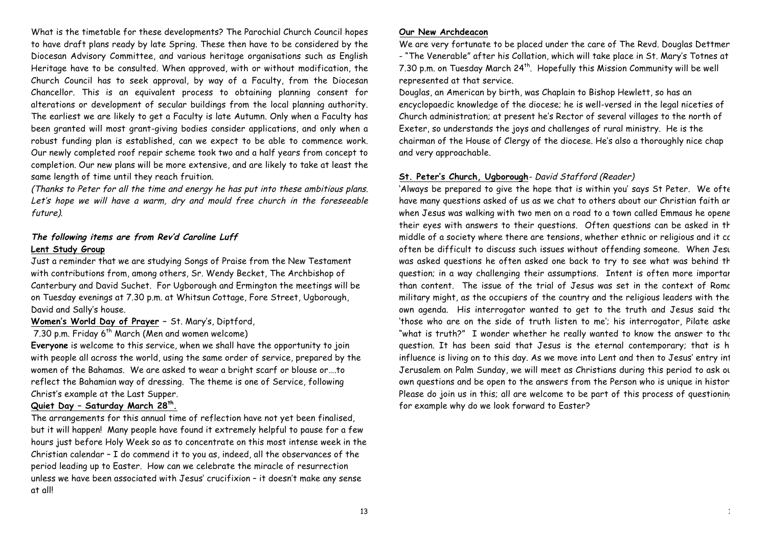What is the timetable for these developments? The Parochial Church Council hopes to have draft plans ready by late Spring. These then have to be considered by the Diocesan Advisory Committee, and various heritage organisations such as English Heritage have to be consulted. When approved, with or without modification, the Church Council has to seek approval, by way of a Faculty, from the Diocesan Chancellor. This is an equivalent process to obtaining planning consent for alterations or development of secular buildings from the local planning authority. The earliest we are likely to get a Faculty is late Autumn. Only when a Faculty has been granted will most grant-giving bodies consider applications, and only when a robust funding plan is established, can we expect to be able to commence work. Our newly completed roof repair scheme took two and a half years from concept to completion. Our new plans will be more extensive, and are likely to take at least the same length of time until they reach fruition.

(Thanks to Peter for all the time and energy he has put into these ambitious plans. Let's hope we will have a warm, dry and mould free church in the foreseeable future).

# **The following items are from Rev'd Caroline Luff Lent Study Group**

Just a reminder that we are studying Songs of Praise from the New Testament with contributions from, among others, Sr. Wendy Becket, The Archbishop of Canterbury and David Suchet. For Ugborough and Ermington the meetings will be on Tuesday evenings at 7.30 p.m. at Whitsun Cottage, Fore Street, Ugborough, David and Sally's house.

# **Women's World Day of Prayer –** St. Mary's, Diptford,

7.30 p.m. Friday  $6^{th}$  March (Men and women welcome)

**Everyone** is welcome to this service, when we shall have the opportunity to join with people all across the world, using the same order of service, prepared by the women of the Bahamas. We are asked to wear a bright scarf or blouse or….to reflect the Bahamian way of dressing. The theme is one of Service, following Christ's example at the Last Supper.

### **Quiet Day – Saturday March 28th.**

The arrangements for this annual time of reflection have not yet been finalised, but it will happen! Many people have found it extremely helpful to pause for a few hours just before Holy Week so as to concentrate on this most intense week in the Christian calendar – I do commend it to you as, indeed, all the observances of the period leading up to Easter. How can we celebrate the miracle of resurrection unless we have been associated with Jesus' crucifixion – it doesn't make any sense at all!

### **Our New Archdeacon**

We are very fortunate to be placed under the care of The Revd. Douglas Dettmer - "The Venerable" after his Collation, which will take place in St. Mary's Totnes at 7.30 p.m. on Tuesday March 24<sup>th</sup>. Hopefully this Mission Community will be well represented at that service.

Douglas, an American by birth, was Chaplain to Bishop Hewlett, so has an encyclopaedic knowledge of the diocese; he is well-versed in the legal niceties of Church administration; at present he's Rector of several villages to the north of Exeter, so understands the joys and challenges of rural ministry. He is the chairman of the House of Clergy of the diocese. He's also a thoroughly nice chap and very approachable.

# **St. Peter's Church, Ugborough**- David Stafford (Reader)

'Always be prepared to give the hope that is within you' says St Peter. We ofte have many questions asked of us as we chat to others about our Christian faith an when Jesus was walking with two men on a road to a town called Emmaus he opene their eyes with answers to their questions. Often questions can be asked in th middle of a society where there are tensions, whether ethnic or religious and it co often be difficult to discuss such issues without offending someone. When Jesus was asked questions he often asked one back to try to see what was behind th question; in a way challenging their assumptions. Intent is often more important than content. The issue of the trial of Jesus was set in the context of Rome military might, as the occupiers of the country and the religious leaders with the own agenda. His interrogator wanted to get to the truth and Jesus said the 'those who are on the side of truth listen to me'; his interrogator, Pilate aske "what is truth?" I wonder whether he really wanted to know the answer to the question. It has been said that Jesus is the eternal contemporary; that is h influence is living on to this day. As we move into Lent and then to Jesus' entry int Jerusalem on Palm Sunday, we will meet as Christians during this period to ask ou own questions and be open to the answers from the Person who is unique in histor Please do join us in this; all are welcome to be part of this process of questioning for example why do we look forward to Easter?